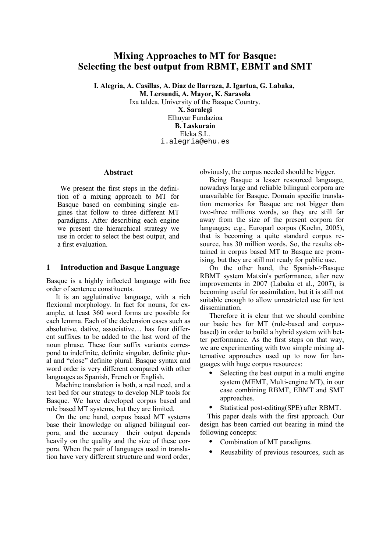# **Mixing Approaches to MT for Basque: Selecting the best output from RBMT, EBMT and SMT**

**I. Alegria, A. Casillas, A. Diaz de Ilarraza, J. Igartua, G. Labaka,** 

**M. Lersundi, A. Mayor, K. Sarasola**

Ixa taldea. University of the Basque Country.

**X. Saralegi** Elhuyar Fundazioa **B. Laskurain** Eleka S.L. i.alegria@ehu.es

#### **Abstract**

 We present the first steps in the definition of a mixing approach to MT for Basque based on combining single engines that follow to three different MT paradigms. After describing each engine we present the hierarchical strategy we use in order to select the best output, and a first evaluation.

#### **1 Introduction and Basque Language**

Basque is a highly inflected language with free order of sentence constituents.

It is an agglutinative language, with a rich flexional morphology. In fact for nouns, for example, at least 360 word forms are possible for each lemma. Each of the declension cases such as absolutive, dative, associative… has four different suffixes to be added to the last word of the noun phrase. These four suffix variants correspond to indefinite, definite singular, definite plural and "close" definite plural. Basque syntax and word order is very different compared with other languages as Spanish, French or English.

Machine translation is both, a real need, and a test bed for our strategy to develop NLP tools for Basque. We have developed corpus based and rule based MT systems, but they are limited.

On the one hand, corpus based MT systems base their knowledge on aligned bilingual corpora, and the accuracy their output depends heavily on the quality and the size of these corpora. When the pair of languages used in translation have very different structure and word order,

obviously, the corpus needed should be bigger.

Being Basque a lesser resourced language, nowadays large and reliable bilingual corpora are unavailable for Basque. Domain specific translation memories for Basque are not bigger than two-three millions words, so they are still far away from the size of the present corpora for languages; e.g., Europarl corpus (Koehn, 2005), that is becoming a quite standard corpus resource, has 30 million words. So, the results obtained in corpus based MT to Basque are promising, but they are still not ready for public use.

On the other hand, the Spanish->Basque RBMT system Matxin's performance, after new improvements in 2007 (Labaka et al., 2007), is becoming useful for assimilation, but it is still not suitable enough to allow unrestricted use for text dissemination.

Therefore it is clear that we should combine our basic hes for MT (rule-based and corpusbased) in order to build a hybrid system with better performance. As the first steps on that way, we are experimenting with two simple mixing alternative approaches used up to now for languages with huge corpus resources:

- Selecting the best output in a multi engine system (MEMT, Multi-engine MT), in our case combining RBMT, EBMT and SMT approaches.
- Statistical post-editing(SPE) after RBMT.

This paper deals with the first approach. Our design has been carried out bearing in mind the following concepts:

- Combination of MT paradigms.
- Reusability of previous resources, such as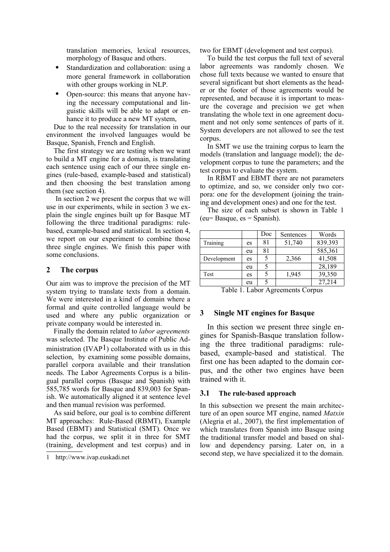translation memories, lexical resources, morphology of Basque and others.

- Standardization and collaboration: using a more general framework in collaboration with other groups working in NLP.
- Open-source: this means that anyone having the necessary computational and linguistic skills will be able to adapt or enhance it to produce a new MT system,

Due to the real necessity for translation in our environment the involved languages would be Basque, Spanish, French and English.

The first strategy we are testing when we want to build a MT engine for a domain, is translating each sentence using each of our three single engines (rule-based, example-based and statistical) and then choosing the best translation among them (see section 4).

In section 2 we present the corpus that we will use in our experiments, while in section 3 we explain the single engines built up for Basque MT following the three traditional paradigms: rulebased, example-based and statistical. In section 4, we report on our experiment to combine those three single engines. We finish this paper with some conclusions.

## **2 The corpus**

Our aim was to improve the precision of the MT system trying to translate texts from a domain. We were interested in a kind of domain where a formal and quite controlled language would be used and where any public organization or private company would be interested in.

Finally the domain related to *labor agreements* was selected. The Basque Institute of Public Administration  $(IVAP<sup>1</sup>)$  $(IVAP<sup>1</sup>)$  $(IVAP<sup>1</sup>)$  collaborated with us in this selection, by examining some possible domains, parallel corpora available and their translation needs. The Labor Agreements Corpus is a bilingual parallel corpus (Basque and Spanish) with 585,785 words for Basque and 839,003 for Spanish. We automatically aligned it at sentence level and then manual revision was performed.

As said before, our goal is to combine different MT approaches: Rule-Based (RBMT), Example Based (EBMT) and Statistical (SMT). Once we had the corpus, we split it in three for SMT (training, development and test corpus) and in two for EBMT (development and test corpus).

To build the test corpus the full text of several labor agreements was randomly chosen. We chose full texts because we wanted to ensure that several significant but short elements as the header or the footer of those agreements would be represented, and because it is important to measure the coverage and precision we get when translating the whole text in one agreement document and not only some sentences of parts of it. System developers are not allowed to see the test corpus.

In SMT we use the training corpus to learn the models (translation and language model); the development corpus to tune the parameters; and the test corpus to evaluate the system.

In RBMT and EBMT there are not parameters to optimize, and so, we consider only two corpora: one for the development (joining the training and development ones) and one for the test.

The size of each subset is shown in Table 1  $(eu= Basque, es = Spanish).$ 

|             |    | Doc | Sentences | Words   |
|-------------|----|-----|-----------|---------|
| Training    | es | 81  | 51,740    | 839.393 |
|             | eu | 81  |           | 585,361 |
| Development | es |     | 2,366     | 41,508  |
|             | eu |     |           | 28,189  |
| Test        | es | 5   | 1,945     | 39,350  |
|             | eu |     |           | 27,214  |

Table 1. Labor Agreements Corpus

## **3 Single MT engines for Basque**

In this section we present three single engines for Spanish-Basque translation following the three traditional paradigms: rulebased, example-based and statistical. The first one has been adapted to the domain corpus, and the other two engines have been trained with it.

#### **3.1 The rule-based approach**

In this subsection we present the main architecture of an open source MT engine, named *Matxin* (Alegria et al., 2007), the first implementation of which translates from Spanish into Basque using the traditional transfer model and based on shallow and dependency parsing. Later on, in a second step, we have specialized it to the domain.

<span id="page-1-0"></span><sup>1</sup> http://www.ivap.euskadi.net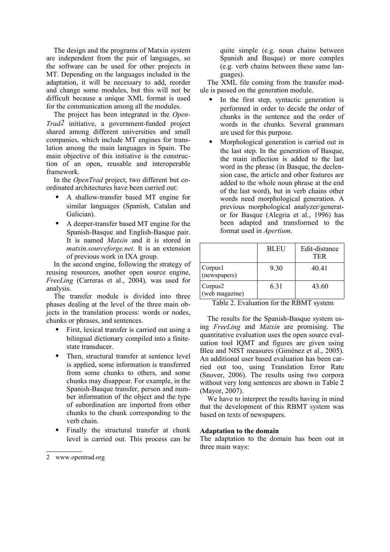The design and the programs of Matxin system are independent from the pair of languages, so the software can be used for other projects in MT. Depending on the languages included in the adaptation, it will be necessary to add, reorder and change some modules, but this will not be difficult because a unique XML format is used for the communication among all the modules.

The project has been integrated in the *Open-Trad[2](#page-2-0)* initiative, a government-funded project shared among different universities and small companies, which include MT engines for translation among the main languages in Spain. The main objective of this initiative is the construction of an open, reusable and interoperable framework.

In the *OpenTrad* project, two different but coordinated architectures have been carried out:

- A shallow-transfer based MT engine for similar languages (Spanish, Catalan and Galician).
- A deeper-transfer based MT engine for the Spanish-Basque and English-Basque pair. It is named *Matxin* and it is stored in *matxin.sourceforge.net.* It is an extension of previous work in IXA group.

In the second engine, following the strategy of reusing resources, another open source engine, *FreeLing* (Carreras et al., 2004)*,* was used for analysis.

The transfer module is divided into three phases dealing at the level of the three main objects in the translation process: words or nodes, chunks or phrases, and sentences.

- First, lexical transfer is carried out using a bilingual dictionary compiled into a finitestate transducer.
- Then, structural transfer at sentence level is applied, some information is transferred from some chunks to others, and some chunks may disappear. For example, in the Spanish-Basque transfer, person and number information of the object and the type of subordination are imported from other chunks to the chunk corresponding to the verb chain.
- Finally the structural transfer at chunk level is carried out. This process can be

quite simple (e.g. noun chains between Spanish and Basque) or more complex (e.g. verb chains between these same languages).

The XML file coming from the transfer module is passed on the generation module.

- In the first step, syntactic generation is performed in order to decide the order of chunks in the sentence and the order of words in the chunks. Several grammars are used for this purpose.
- Morphological generation is carried out in the last step. In the generation of Basque, the main inflection is added to the last word in the phrase (in Basque, the declension case, the article and other features are added to the whole noun phrase at the end of the last word), but in verb chains other words need morphological generation. A previous morphological analyzer/generator for Basque (Alegria et al., 1996) has been adapted and transformed to the format used in *Apertium*.

|                           | <b>BLEU</b> | Edit-distance<br><b>TER</b> |
|---------------------------|-------------|-----------------------------|
| Corpus1<br>(newspapers)   | 9.30        | 40.41                       |
| Corpus2<br>(web magazine) | 6.31        | 43.60                       |

Table 2. Evaluation for the RBMT system

The results for the Spanish-Basque system using *FreeLing* and *Matxin* are promising. The quantitative evaluation uses the open source evaluation tool IQMT and figures are given using Bleu and NIST measures (Giménez et al., 2005). An additional user based evaluation has been carried out too, using Translation Error Rate (Snover, 2006). The results using two corpora without very long sentences are shown in Table 2 (Mayor, 2007).

We have to interpret the results having in mind that the development of this RBMT system was based on texts of newspapers.

#### **Adaptation to the domain**

The adaptation to the domain has been out in three main ways:

<span id="page-2-0"></span><sup>2</sup> www.opentrad.org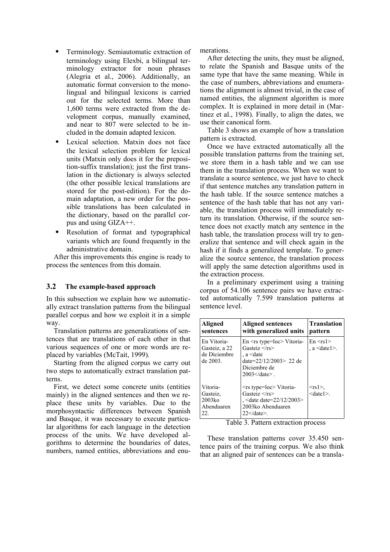- Terminology. Semiautomatic extraction of terminology using Elexbi, a bilingual terminology extractor for noun phrases (Alegria et al., 2006). Additionally, an automatic format conversion to the monolingual and bilingual lexicons is carried out for the selected terms. More than 1,600 terms were extracted from the development corpus, manually examined, and near to 807 were selected to be included in the domain adapted lexicon.
- Lexical selection. Matxin does not face the lexical selection problem for lexical units (Matxin only does it for the preposition-suffix translation); just the first translation in the dictionary is always selected (the other possible lexical translations are stored for the post-edition). For the domain adaptation, a new order for the possible translations has been calculated in the dictionary, based on the parallel corpus and using GIZA++.
- Resolution of format and typographical variants which are found frequently in the administrative domain.

After this improvements this engine is ready to process the sentences from this domain.

## **3.2 The example-based approach**

In this subsection we explain how we automatically extract translation patterns from the bilingual parallel corpus and how we exploit it in a simple way.

Translation patterns are generalizations of sentences that are translations of each other in that various sequences of one or more words are replaced by variables (McTait, 1999).

Starting from the aligned corpus we carry out two steps to automatically extract translation patterns.

First, we detect some concrete units (entities mainly) in the aligned sentences and then we replace these units by variables. Due to the morphosyntactic differences between Spanish and Basque, it was necessary to execute particular algorithms for each language in the detection process of the units. We have developed algorithms to determine the boundaries of dates, numbers, named entities, abbreviations and enumerations.

After detecting the units, they must be aligned, to relate the Spanish and Basque units of the same type that have the same meaning. While in the case of numbers, abbreviations and enumerations the alignment is almost trivial, in the case of named entities, the alignment algorithm is more complex. It is explained in more detail in (Martinez et al., 1998). Finally, to align the dates, we use their canonical form.

Table 3 shows an example of how a translation pattern is extracted.

Once we have extracted automatically all the possible translation patterns from the training set, we store them in a hash table and we can use them in the translation process. When we want to translate a source sentence, we just have to check if that sentence matches any translation pattern in the hash table. If the source sentence matches a sentence of the hash table that has not any variable, the translation process will immediately return its translation. Otherwise, if the source sentence does not exactly match any sentence in the hash table, the translation process will try to generalize that sentence and will check again in the hash if it finds a generalized template. To generalize the source sentence, the translation process will apply the same detection algorithms used in the extraction process.

In a preliminary experiment using a training corpus of 54.106 sentence pairs we have extracted automatically 7.599 translation patterns at sentence level.

| Aligned<br>sentences                                     | Aligned sentences<br>with generalized units                                                                                                                        | <b>Translation</b><br>pattern   |
|----------------------------------------------------------|--------------------------------------------------------------------------------------------------------------------------------------------------------------------|---------------------------------|
| En Vitoria-<br>Gasteiz, a 22<br>de Diciembre<br>de 2003. | $En \leq rs$ type=loc> Vitoria-<br>Gasteiz $\langle$ rs><br>$a \leq$ date<br>date=22/12/2003> 22 de<br>Diciembre de<br>$2003 \leq /\text{date}$                    | $En \leq rs1$<br>$a \leq data1$ |
| Vitoria-<br>Gasteiz.<br>$2003k$ o<br>Abenduaren<br>22.   | <rs type="loc"> Vitoria-<br/>Gasteiz <math>\langle</math>rs&gt;<br/>, <date date="22/12/2003"><br/>2003ko Abenduaren<br/><math>22&lt;</math>/date&gt;.</date></rs> | $<$ rs 1>,<br>$<$ date $1>$ .   |

Table 3. Pattern extraction process

These translation patterns cover 35.450 sentence pairs of the training corpus. We also think that an aligned pair of sentences can be a transla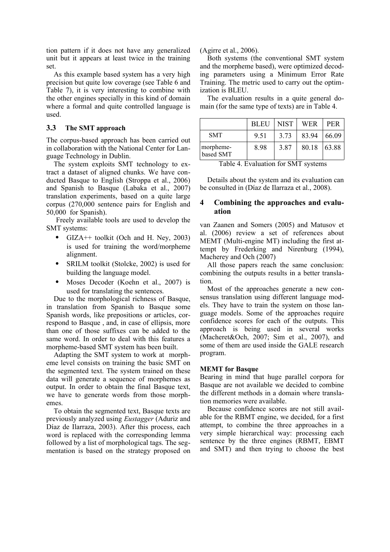tion pattern if it does not have any generalized unit but it appears at least twice in the training set.

As this example based system has a very high precision but quite low coverage (see Table 6 and Table 7), it is very interesting to combine with the other engines specially in this kind of domain where a formal and quite controlled language is used.

## **3.3 The SMT approach**

The corpus-based approach has been carried out in collaboration with the National Center for Language Technology in Dublin.

The system exploits SMT technology to extract a dataset of aligned chunks. We have conducted Basque to English (Stroppa et al., 2006) and Spanish to Basque (Labaka et al., 2007) translation experiments, based on a quite large corpus (270,000 sentence pairs for English and 50,000 for Spanish).

 Freely available tools are used to develop the SMT systems:

- GIZA<sup>++</sup> toolkit (Och and H. Ney, 2003) is used for training the word/morpheme alignment.
- SRILM toolkit (Stolcke, 2002) is used for building the language model.
- Moses Decoder (Koehn et al., 2007) is used for translating the sentences.

Due to the morphological richness of Basque, in translation from Spanish to Basque some Spanish words, like prepositions or articles, correspond to Basque , and, in case of ellipsis, more than one of those suffixes can be added to the same word. In order to deal with this features a morpheme-based SMT system has been built.

Adapting the SMT system to work at morpheme level consists on training the basic SMT on the segmented text. The system trained on these data will generate a sequence of morphemes as output. In order to obtain the final Basque text, we have to generate words from those morphemes.

To obtain the segmented text, Basque texts are previously analyzed using *Eustagger* (Aduriz and Díaz de Ilarraza, 2003). After this process, each word is replaced with the corresponding lemma followed by a list of morphological tags. The segmentation is based on the strategy proposed on (Agirre et al., 2006).

Both systems (the conventional SMT system and the morpheme based), were optimized decoding parameters using a Minimum Error Rate Training. The metric used to carry out the optimization is BLEU.

The evaluation results in a quite general domain (for the same type of texts) are in Table 4.

|                        | <b>BLEU</b> | <b>NIST</b> | <b>WER</b> | <b>PER</b> |
|------------------------|-------------|-------------|------------|------------|
| <b>SMT</b>             | 9.51        | 3.73        | 83.94      | 66.09      |
| morpheme-<br>based SMT | 8.98        | 3.87        | 80.18      | 63.88      |

Table 4. Evaluation for SMT systems

Details about the system and its evaluation can be consulted in (Díaz de Ilarraza et al., 2008).

## **4 Combining the approaches and evaluation**

van Zaanen and Somers (2005) and Matusov et al. (2006) review a set of references about MEMT (Multi-engine MT) including the first attempt by Frederking and Nirenburg (1994), Macherey and Och (2007)

All those papers reach the same conclusion: combining the outputs results in a better translation.

Most of the approaches generate a new consensus translation using different language models. They have to train the system on those language models. Some of the approaches require confidence scores for each of the outputs. This approach is being used in several works (Macheret&Och, 2007; Sim et al., 2007), and some of them are used inside the GALE research program.

## **MEMT for Basque**

Bearing in mind that huge parallel corpora for Basque are not available we decided to combine the different methods in a domain where translation memories were available.

Because confidence scores are not still available for the RBMT engine, we decided, for a first attempt, to combine the three approaches in a very simple hierarchical way: processing each sentence by the three engines (RBMT, EBMT and SMT) and then trying to choose the best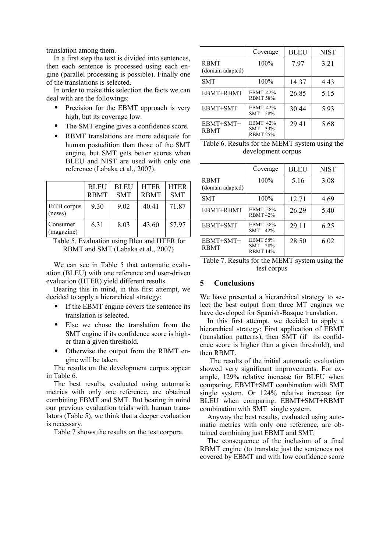translation among them.

In a first step the text is divided into sentences, then each sentence is processed using each engine (parallel processing is possible). Finally one of the translations is selected.

In order to make this selection the facts we can deal with are the followings:

- Precision for the EBMT approach is very high, but its coverage low.
- The SMT engine gives a confidence score.
- RBMT translations are more adequate for human postedition than those of the SMT engine, but SMT gets better scores when BLEU and NIST are used with only one reference (Labaka et al., 2007).

|                        | <b>BLEU</b><br><b>RBMT</b> | <b>BLEU</b><br><b>SMT</b> | <b>HTER</b><br><b>RBMT</b> | <b>HTER</b><br><b>SMT</b> |
|------------------------|----------------------------|---------------------------|----------------------------|---------------------------|
| EiTB corpus<br>(news)  | 9.30                       | 9.02                      | 40.41                      | 71.87                     |
| Consumer<br>(magazine) | 6.31                       | 8.03                      | 43.60                      | 57.97                     |

Table 5. Evaluation using Bleu and HTER for RBMT and SMT (Labaka et al., 2007)

We can see in Table 5 that automatic evaluation (BLEU) with one reference and user-driven evaluation (HTER) yield different results.

Bearing this in mind, in this first attempt, we decided to apply a hierarchical strategy:

- If the EBMT engine covers the sentence its translation is selected.
- Else we chose the translation from the SMT engine if its confidence score is higher than a given threshold.
- Otherwise the output from the RBMT engine will be taken.

The results on the development corpus appear in Table 6.

The best results, evaluated using automatic metrics with only one reference, are obtained combining EBMT and SMT. But bearing in mind our previous evaluation trials with human translators (Table 5), we think that a deeper evaluation is necessary.

Table 7 shows the results on the test corpora.

|                                 | Coverage                                      | <b>BLEU</b> | <b>NIST</b> |
|---------------------------------|-----------------------------------------------|-------------|-------------|
| <b>RBMT</b><br>(domain adapted) | 100%                                          | 7.97        | 3.21        |
| <b>SMT</b>                      | 100%                                          | 14.37       | 4.43        |
| EBMT+RBMT                       | <b>EBMT 42%</b><br><b>RBMT 58%</b>            | 26.85       | 5.15        |
| EBMT+SMT                        | <b>EBMT 42%</b><br><b>SMT</b><br>58%          | 30.44       | 5.93        |
| EBMT+SMT+<br><b>RBMT</b>        | <b>EBMT 42%</b><br>SMT 33%<br><b>RBMT 25%</b> | 29.41       | 5.68        |

Table 6. Results for the MEMT system using the development corpus

|                                 | Coverage                                      | <b>BLEU</b> | <b>NIST</b> |
|---------------------------------|-----------------------------------------------|-------------|-------------|
| <b>RBMT</b><br>(domain adapted) | 100%                                          | 5.16        | 3.08        |
| <b>SMT</b>                      | 100%                                          | 12.71       | 4.69        |
| EBMT+RBMT                       | <b>EBMT 58%</b><br><b>RBMT 42%</b>            | 26.29       | 5.40        |
| EBMT+SMT                        | <b>EBMT 58%</b><br>SMT<br>42%                 | 29.11       | 6.25        |
| EBMT+SMT+<br><b>RBMT</b>        | <b>EBMT 58%</b><br>SMT 28%<br><b>RBMT 14%</b> | 28.50       | 6.02        |

Table 7. Results for the MEMT system using the test corpus

## **5 Conclusions**

We have presented a hierarchical strategy to select the best output from three MT engines we have developed for Spanish-Basque translation.

In this first attempt, we decided to apply a hierarchical strategy: First application of EBMT (translation patterns), then SMT (if its confidence score is higher than a given threshold), and then RBMT.

 The results of the initial automatic evaluation showed very significant improvements. For example, 129% relative increase for BLEU when comparing. EBMT+SMT combination with SMT single system. Or 124% relative increase for BLEU when comparing. EBMT+SMT+RBMT combination with SMT single system.

Anyway the best results, evaluated using automatic metrics with only one reference, are obtained combining just EBMT and SMT.

The consequence of the inclusion of a final RBMT engine (to translate just the sentences not covered by EBMT and with low confidence score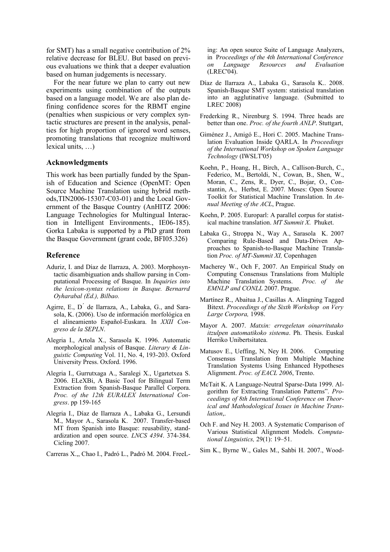for SMT) has a small negative contribution of 2% relative decrease for BLEU. But based on previous evaluations we think that a deeper evaluation based on human judgements is necessary.

For the near future we plan to carry out new experiments using combination of the outputs based on a language model. We are also plan defining confidence scores for the RBMT engine (penalties when suspicious or very complex syntactic structures are present in the analysis, penalties for high proportion of ignored word senses, promoting translations that recognize multiword lexical units, …)

#### **Acknowledgments**

This work has been partially funded by the Spanish of Education and Science (OpenMT: Open Source Machine Translation using hybrid methods,TIN2006-15307-C03-01) and the Local Government of the Basque Country (AnHITZ 2006: Language Technologies for Multingual Interaction in Intelligent Environments., IE06-185). Gorka Labaka is supported by a PhD grant from the Basque Government (grant code, BFI05.326)

#### **Reference**

- Aduriz, I. and Díaz de Ilarraza, A. 2003. Morphosyntactic disambiguation ands shallow parsing in Computational Processing of Basque. In *Inquiries into the lexicon-syntax relations in Basque. Bernarrd Oyharabal (Ed.), Bilbao.*
- Agirre, E., D<sup>'</sup> de Ilarraza, A., Labaka, G., and Sarasola, K. (2006). Uso de informació́n morfológica en el alineamiento Español-Euskara. In *XXII Congreso de la SEPLN*.
- Alegria I., Artola X., Sarasola K. 1996. Automatic morphological analysis of Basque. *Literary & Linguistic Computing* Vol. 11, No. 4, 193-203. Oxford University Press. Oxford. 1996.
- Alegria I., Gurrutxaga A., Saralegi X., Ugartetxea S. 2006. ELeXBi, A Basic Tool for Bilingual Term Extraction from Spanish-Basque Parallel Corpora. *Proc. of the 12th EURALEX International Congress*. pp 159-165
- Alegria I., Díaz de Ilarraza A., Labaka G., Lersundi M., Mayor A., Sarasola K. 2007. Transfer-based MT from Spanish into Basque: reusability, standardization and open source. *LNCS 4394*. 374-384. Cicling 2007.

Carreras X.,, Chao I., Padró L., Padró M. 2004. FreeL-

ing: An open source Suite of Language Analyzers, in P*roceedings of the 4th International Conference on Language Resources and Evaluation* (LREC'04).

- Díaz de Ilarraza A., Labaka G., Sarasola K.. 2008. Spanish-Basque SMT system: statistical translation into an agglutinative language. (Submitted to LREC 2008)
- Frederking R., Nirenburg S. 1994. Three heads are better than one. *Proc. of the fourth ANLP*. Stuttgart,
- Giménez J., Amigó E., Hori C. 2005. Machine Translation Evaluation Inside QARLA. In *Proceedings of the International Workshop on Spoken Language Technology* (IWSLT'05)
- Koehn, P., Hoang, H., Birch, A., Callison-Burch, C., Federico, M., Bertoldi, N., Cowan, B., Shen, W., Moran, C., Zens, R., Dyer, C., Bojar, O., Constantin, A., Herbst, E. 2007*.* Moses: Open Source Toolkit for Statistical Machine Translation. In *Annual Meeting of the ACL*, Prague.
- Koehn, P. 2005. Europarl: A parallel corpus for statistical machine translation. *MT Summit X*. Phuket.
- Labaka G., Stroppa N., Way A., Sarasola K. 2007 Comparing Rule-Based and Data-Driven Approaches to Spanish-to-Basque Machine Translation *Proc. of MT-Summit XI,* Copenhagen
- Macherey W., Och F, 2007. An Empirical Study on Computing Consensus Translations from Multiple Machine Translation Systems. *Proc. of the EMNLP and CONLL* 2007. Prague.
- Martínez R., Abaitua J., Casillas A. Alingning Tagged Bitext. *Proceedings of the Sixth Workshop on Very Large Corpora,* 1998.
- Mayor A. 2007. *Matxin: erregeletan oinarritutako itzulpen automatikoko sistema*. Ph. Thesis. Euskal Herriko Unibertsitatea.
- Matusov E., Ueffing, N, Ney H. 2006. Computing Consensus Translation from Multiple Machine Translation Systems Using Enhanced Hypotheses Alignment. *Proc. of EACL 2006*, Trento.
- McTait K. A Language-Neutral Sparse-Data 1999. Algorithm for Extracting Translation Patterns". *Proceedings of 8th International Conference on Theorical and Mathodological Issues in Machine Translation*,.
- Och F. and Ney H. 2003. A Systematic Comparison of Various Statistical Alignment Models. *Computational Linguistics,* 29(1): 19–51.
- Sim K., Byrne W., Gales M., Sahbi H. 2007., Wood-